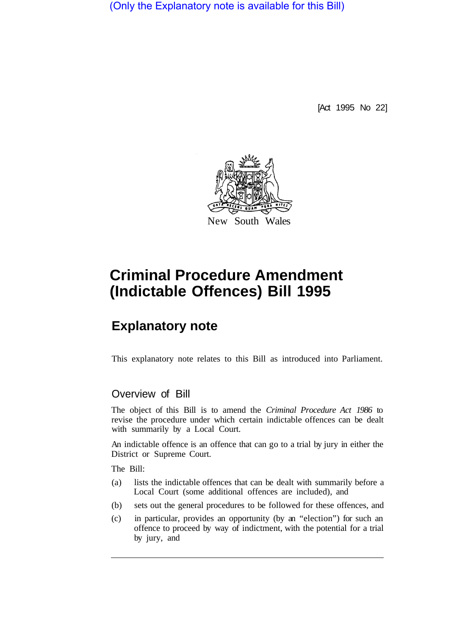(Only the Explanatory note is available for this Bill)

[Act 1995 No 22]



# **Criminal Procedure Amendment (Indictable Offences) Bill 1995**

## **Explanatory note**

This explanatory note relates to this Bill as introduced into Parliament.

### Overview of Bill

The object of this Bill is to amend the *Criminal Procedure Act 1986* to revise the procedure under which certain indictable offences can be dealt with summarily by a Local Court.

An indictable offence is an offence that can go to a trial by jury in either the District or Supreme Court.

The Bill:

- (a) lists the indictable offences that can be dealt with summarily before a Local Court (some additional offences are included), and
- (b) sets out the general procedures to be followed for these offences, and
- (c) in particular, provides an opportunity (by an "election") for such an offence to proceed by way of indictment, with the potential for a trial by jury, and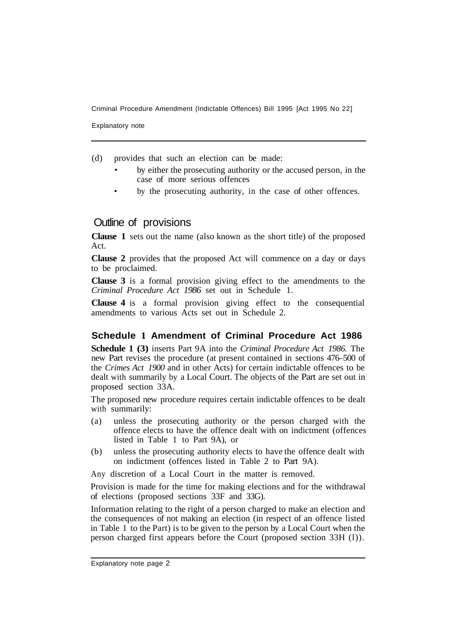Criminal Procedure Amendment (Indictable Offences) Bill 1995 [Act 1995 No 22]

Explanatory note

(d) provides that such an election can be made:

- by either the prosecuting authority or the accused person, in the case of more serious offences
- by the prosecuting authority, in the case of other offences.

### Outline of provisions

**Clause 1** sets out the name (also known as the short title) of the proposed Act.

**Clause 2** provides that the proposed Act will commence on a day or days to be proclaimed.

**Clause 3** is a formal provision giving effect to the amendments to the *Criminal Procedure Act 1986* set out in Schedule 1.

**Clause 4** is a formal provision giving effect to the consequential amendments to various Acts set out in Schedule 2.

#### **Schedule 1 Amendment of Criminal Procedure Act 1986**

**Schedule 1 (3)** inserts Part 9A into the *Criminal Procedure Act 1986.* The new Part revises the procedure (at present contained in sections 476–500 of the *Crimes Act 1900* and in other Acts) for certain indictable offences to be dealt with summarily by a Local Court. The objects of the Part are set out in proposed section 33A.

The proposed new procedure requires certain indictable offences to be dealt with summarily:

- (a) unless the prosecuting authority or the person charged with the offence elects to have the offence dealt with on indictment (offences listed in Table 1 to Part 9A), or
- (b) unless the prosecuting authority elects to have the offence dealt with on indictment (offences listed in Table 2 to Part 9A).

Any discretion of a Local Court in the matter is removed.

Provision is made for the time for making elections and for the withdrawal of elections (proposed sections 33F and 33G).

Information relating to the right of a person charged to make an election and the consequences of not making an election (in respect of an offence listed in Table 1 to the Part) is to be given to the person by a Local Court when the person charged first appears before the Court (proposed section 33H (l)).

Explanatory note page 2